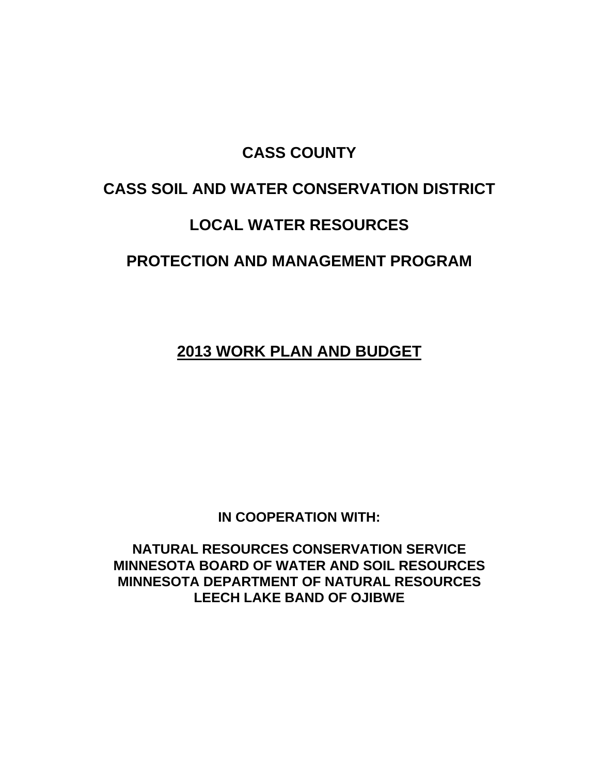# **CASS COUNTY**

# **CASS SOIL AND WATER CONSERVATION DISTRICT**

# **LOCAL WATER RESOURCES**

# **PROTECTION AND MANAGEMENT PROGRAM**

**2013 WORK PLAN AND BUDGET**

**IN COOPERATION WITH:**

**NATURAL RESOURCES CONSERVATION SERVICE MINNESOTA BOARD OF WATER AND SOIL RESOURCES MINNESOTA DEPARTMENT OF NATURAL RESOURCES LEECH LAKE BAND OF OJIBWE**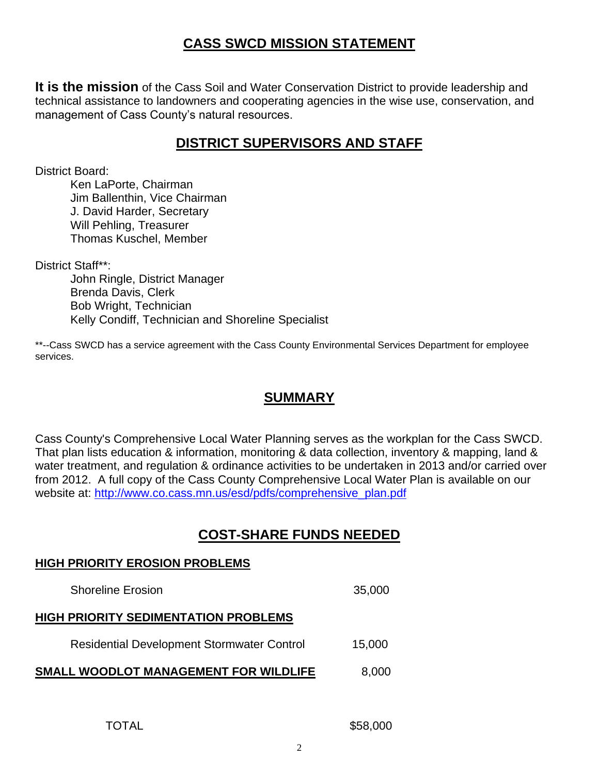# **CASS SWCD MISSION STATEMENT**

**It is the mission** of the Cass Soil and Water Conservation District to provide leadership and technical assistance to landowners and cooperating agencies in the wise use, conservation, and management of Cass County's natural resources.

## **DISTRICT SUPERVISORS AND STAFF**

District Board:

Ken LaPorte, Chairman Jim Ballenthin, Vice Chairman J. David Harder, Secretary Will Pehling, Treasurer Thomas Kuschel, Member

District Staff\*\*:

John Ringle, District Manager Brenda Davis, Clerk Bob Wright, Technician Kelly Condiff, Technician and Shoreline Specialist

\*\*--Cass SWCD has a service agreement with the Cass County Environmental Services Department for employee services.

## **SUMMARY**

Cass County's Comprehensive Local Water Planning serves as the workplan for the Cass SWCD. That plan lists education & information, monitoring & data collection, inventory & mapping, land & water treatment, and regulation & ordinance activities to be undertaken in 2013 and/or carried over from 2012. A full copy of the Cass County Comprehensive Local Water Plan is available on our website at: [http://www.co.cass.mn.us/esd/pdfs/comprehensive\\_plan.pdf](http://www.co.cass.mn.us/esd/pdfs/comprehensive_plan.pdf)

# **COST-SHARE FUNDS NEEDED**

#### **HIGH PRIORITY EROSION PROBLEMS**

Shoreline Erosion 35,000 **HIGH PRIORITY SEDIMENTATION PROBLEMS** Residential Development Stormwater Control 15,000 **SMALL WOODLOT MANAGEMENT FOR WILDLIFE** 8,000

TOTAL \$58,000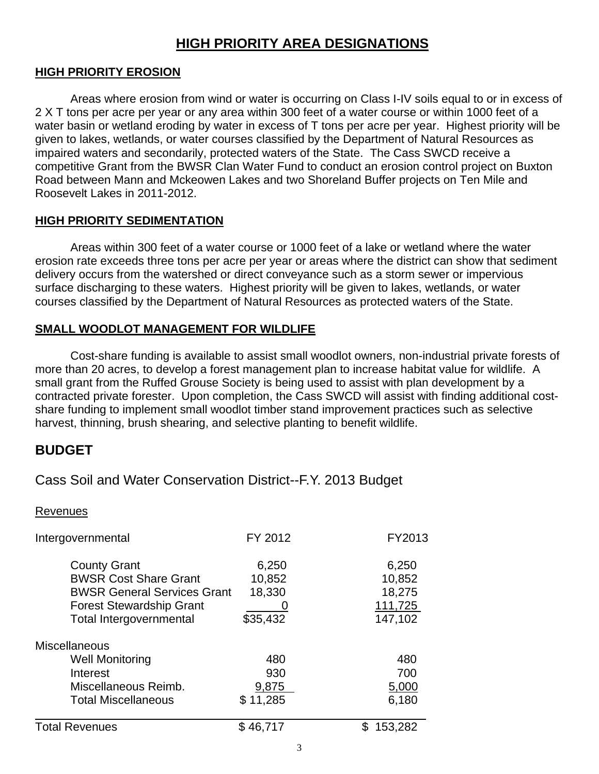# **HIGH PRIORITY AREA DESIGNATIONS**

### **HIGH PRIORITY EROSION**

Areas where erosion from wind or water is occurring on Class I-IV soils equal to or in excess of 2 X T tons per acre per year or any area within 300 feet of a water course or within 1000 feet of a water basin or wetland eroding by water in excess of T tons per acre per year. Highest priority will be given to lakes, wetlands, or water courses classified by the Department of Natural Resources as impaired waters and secondarily, protected waters of the State. The Cass SWCD receive a competitive Grant from the BWSR Clan Water Fund to conduct an erosion control project on Buxton Road between Mann and Mckeowen Lakes and two Shoreland Buffer projects on Ten Mile and Roosevelt Lakes in 2011-2012.

#### **HIGH PRIORITY SEDIMENTATION**

Areas within 300 feet of a water course or 1000 feet of a lake or wetland where the water erosion rate exceeds three tons per acre per year or areas where the district can show that sediment delivery occurs from the watershed or direct conveyance such as a storm sewer or impervious surface discharging to these waters. Highest priority will be given to lakes, wetlands, or water courses classified by the Department of Natural Resources as protected waters of the State.

### **SMALL WOODLOT MANAGEMENT FOR WILDLIFE**

Cost-share funding is available to assist small woodlot owners, non-industrial private forests of more than 20 acres, to develop a forest management plan to increase habitat value for wildlife. A small grant from the Ruffed Grouse Society is being used to assist with plan development by a contracted private forester. Upon completion, the Cass SWCD will assist with finding additional costshare funding to implement small woodlot timber stand improvement practices such as selective harvest, thinning, brush shearing, and selective planting to benefit wildlife.

### **BUDGET**

### Cass Soil and Water Conservation District--F.Y. 2013 Budget

#### Revenues

| Intergovernmental                                                                                                                                              | FY 2012                               | FY2013                                          |
|----------------------------------------------------------------------------------------------------------------------------------------------------------------|---------------------------------------|-------------------------------------------------|
| <b>County Grant</b><br><b>BWSR Cost Share Grant</b><br><b>BWSR General Services Grant</b><br><b>Forest Stewardship Grant</b><br><b>Total Intergovernmental</b> | 6,250<br>10,852<br>18,330<br>\$35,432 | 6,250<br>10,852<br>18,275<br>111,725<br>147,102 |
| Miscellaneous                                                                                                                                                  |                                       |                                                 |
| <b>Well Monitoring</b>                                                                                                                                         | 480                                   | 480                                             |
| Interest                                                                                                                                                       | 930                                   | 700                                             |
| Miscellaneous Reimb.                                                                                                                                           | 9,875                                 | 5,000                                           |
| <b>Total Miscellaneous</b>                                                                                                                                     | \$11,285                              | 6,180                                           |
| <b>Total Revenues</b>                                                                                                                                          | \$46,717                              | 153,282                                         |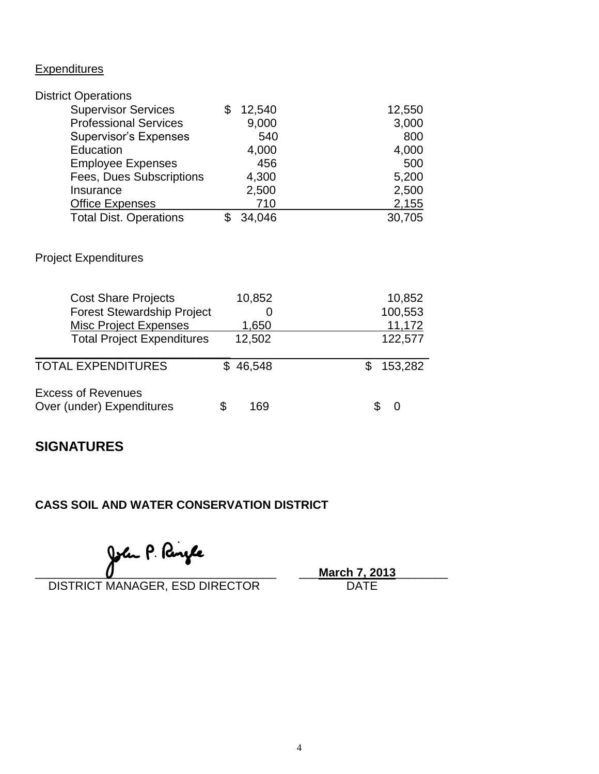### **Expenditures**

| <b>District Operations</b>    |        |        |
|-------------------------------|--------|--------|
| <b>Supervisor Services</b>    | 12,540 | 12,550 |
| <b>Professional Services</b>  | 9,000  | 3,000  |
| <b>Supervisor's Expenses</b>  | 540    | 800    |
| Education                     | 4,000  | 4,000  |
| <b>Employee Expenses</b>      | 456    | 500    |
| Fees, Dues Subscriptions      | 4,300  | 5,200  |
| Insurance                     | 2,500  | 2,500  |
| <b>Office Expenses</b>        | 710    | 2,155  |
| <b>Total Dist. Operations</b> | 34,046 | 30,705 |

### Project Expenditures

| <b>Cost Share Projects</b><br><b>Forest Stewardship Project</b><br><b>Misc Project Expenses</b><br><b>Total Project Expenditures</b> | 10,852<br>1,650<br>12,502 | 10,852<br>100,553<br>11,172<br>122,577 |
|--------------------------------------------------------------------------------------------------------------------------------------|---------------------------|----------------------------------------|
| <b>TOTAL EXPENDITURES</b>                                                                                                            | \$46,548                  | 153,282                                |
| <b>Excess of Revenues</b><br>Over (under) Expenditures                                                                               | 169                       | $\left($                               |

## **SIGNATURES**

### **CASS SOIL AND WATER CONSERVATION DISTRICT**

DISTRICT MANAGER, ESD DIRECTOR

John P. **Pangle**<br>MANAGER. ESD DIRECTOR DATE